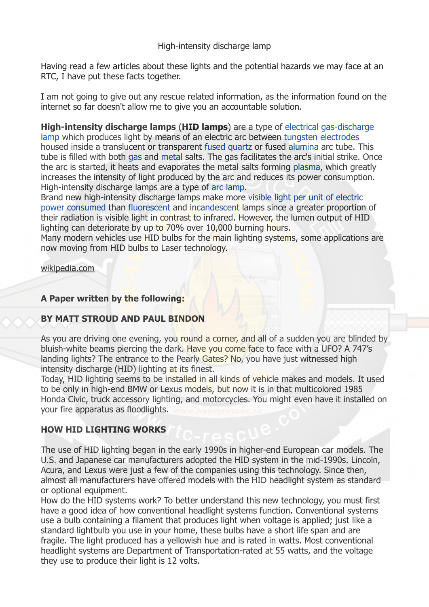### High-intensity discharge lamp

Having read a few articles about these lights and the potential hazards we may face at an RTC, I have put these facts together.

I am not going to give out any rescue related information, as the information found on the internet so far doesn't allow me to give you an accountable solution.

**High-intensity discharge lamps** (**HID lamps**) are a type of [electrical](https://en.wikipedia.org/wiki/Electric_light) gas-discharge [lamp which produces light by means of an electric arc between tungsten](https://en.wikipedia.org/wiki/Gas-discharge_lamp) [electrodes](https://en.wikipedia.org/wiki/Electrode) housed inside a translucent or transparent [fused quartz](https://en.wikipedia.org/wiki/Fused_quartz) or fused [alumina](https://en.wikipedia.org/wiki/Alumina) arc tube. This tube is filled with both [gas](https://en.wikipedia.org/wiki/Gas) and [metal](https://en.wikipedia.org/wiki/Metal) salts. The gas facilitates the arc's initial strike. Once the arc is started, it heats and evaporates the metal salts forming [plasma,](https://en.wikipedia.org/wiki/Plasma_(physics)) which greatly increases the intensity of light produced by the arc and reduces its power consumption. High-intensity discharge lamps are a type of [arc lamp](https://en.wikipedia.org/wiki/Arc_lamp).

Brand new high-intensity discharge lamps make more visible light per unit of electric [power consumed than fluorescent and incandescent lamps since a greater proportion](https://en.wikipedia.org/wiki/Luminous_efficacy) of their radiation is visible light in contrast to infrared. However, the lumen output of HID lighting can deteriorate by up to 70% over 10,000 burning hours.

Many modern vehicles use HID bulbs for the main lighting systems, some applications are now moving from HID bulbs to Laser technology.

[wikipedia.com](http://wikipedia.com)

## **A Paper written by the following:**

## **BY MATT STROUD AND PAUL BINDON**

As you are driving one evening, you round a corner, and all of a sudden you are blinded by bluish-white beams piercing the dark. Have you come face to face with a UFO? A 747's landing lights? The entrance to the Pearly Gates? No, you have just witnessed high intensity discharge (HID) lighting at its finest.

Today, HID lighting seems to be installed in all kinds of vehicle makes and models. It used to be only in high-end BMW or Lexus models, but now it is in that multicolored 1985 Honda Civic, truck accessory lighting, and motorcycles. You might even have it installed on your fire apparatus as floodlights.

# **HOW HID LIGHTING WORKS**

The use of HID lighting began in the early 1990s in higher-end European car models. The U.S. and Japanese car manufacturers adopted the HID system in the mid-1990s. Lincoln, Acura, and Lexus were just a few of the companies using this technology. Since then, almost all manufacturers have offered models with the HID headlight system as standard or optional equipment.

How do the HID systems work? To better understand this new technology, you must first have a good idea of how conventional headlight systems function. Conventional systems use a bulb containing a filament that produces light when voltage is applied; just like a standard lightbulb you use in your home, these bulbs have a short life span and are fragile. The light produced has a yellowish hue and is rated in watts. Most conventional headlight systems are Department of Transportation-rated at 55 watts, and the voltage they use to produce their light is 12 volts.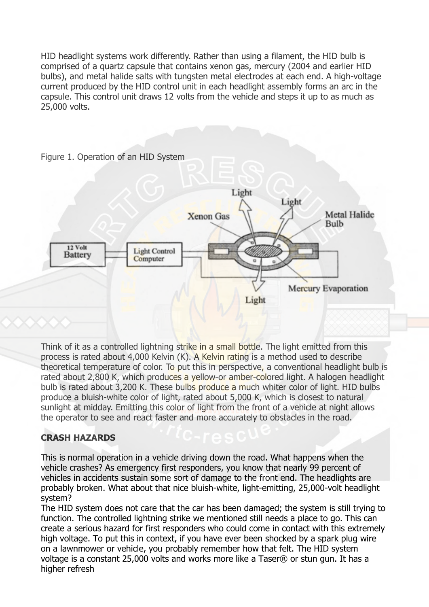HID headlight systems work differently. Rather than using a filament, the HID bulb is comprised of a quartz capsule that contains xenon gas, mercury (2004 and earlier HID bulbs), and metal halide salts with tungsten metal electrodes at each end. A high-voltage current produced by the HID control unit in each headlight assembly forms an arc in the capsule. This control unit draws 12 volts from the vehicle and steps it up to as much as 25,000 volts.



Think of it as a controlled lightning strike in a small bottle. The light emitted from this process is rated about 4,000 Kelvin (K). A Kelvin rating is a method used to describe theoretical temperature of color. To put this in perspective, a conventional headlight bulb is rated about 2,800 K, which produces a yellow-or amber-colored light. A halogen headlight bulb is rated about 3,200 K. These bulbs produce a much whiter color of light. HID bulbs produce a bluish-white color of light, rated about 5,000 K, which is closest to natural sunlight at midday. Emitting this color of light from the front of a vehicle at night allows the operator to see and react faster and more accurately to obstacles in the road.

# **CRASH HAZARDS**

This is normal operation in a vehicle driving down the road. What happens when the vehicle crashes? As emergency first responders, you know that nearly 99 percent of vehicles in accidents sustain some sort of damage to the front end. The headlights are probably broken. What about that nice bluish-white, light-emitting, 25,000-volt headlight system?

The HID system does not care that the car has been damaged; the system is still trying to function. The controlled lightning strike we mentioned still needs a place to go. This can create a serious hazard for first responders who could come in contact with this extremely high voltage. To put this in context, if you have ever been shocked by a spark plug wire on a lawnmower or vehicle, you probably remember how that felt. The HID system voltage is a constant 25,000 volts and works more like a Taser® or stun gun. It has a higher refresh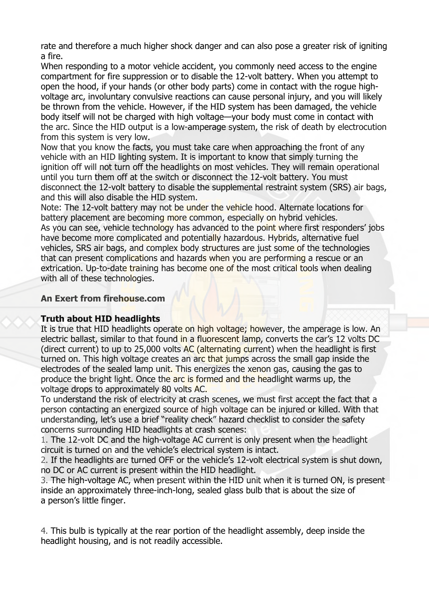rate and therefore a much higher shock danger and can also pose a greater risk of igniting a fire.

When responding to a motor vehicle accident, you commonly need access to the engine compartment for fire suppression or to disable the 12-volt battery. When you attempt to open the hood, if your hands (or other body parts) come in contact with the rogue highvoltage arc, involuntary convulsive reactions can cause personal injury, and you will likely be thrown from the vehicle. However, if the HID system has been damaged, the vehicle body itself will not be charged with high voltage—your body must come in contact with the arc. Since the HID output is a low-amperage system, the risk of death by electrocution from this system is very low.

Now that you know the facts, you must take care when approaching the front of any vehicle with an HID lighting system. It is important to know that simply turning the ignition off will not turn off the headlights on most vehicles. They will remain operational until you turn them off at the switch or disconnect the 12-volt battery. You must disconnect the 12-volt battery to disable the supplemental restraint system (SRS) air bags, and this will also disable the HID system.

Note: The 12-volt battery may not be under the vehicle hood. Alternate locations for battery placement are becoming more common, especially on hybrid vehicles. As you can see, vehicle technology has advanced to the point where first responders' jobs have become more complicated and potentially hazardous. Hybrids, alternative fuel vehicles, SRS air bags, and complex body structures are just some of the technologies that can present complications and hazards when you are performing a rescue or an extrication. Up-to-date training has become one of the most critical tools when dealing with all of these technologies.

### **An Exert from firehouse.com**

## **Truth about HID headlights**

It is true that HID headlights operate on high voltage; however, the amperage is low. An electric ballast, similar to that found in a fluorescent lamp, converts the car's 12 volts DC (direct current) to up to 25,000 volts AC (alternating current) when the headlight is first turned on. This high voltage creates an arc that jumps across the small gap inside the electrodes of the sealed lamp unit. This energizes the xenon gas, causing the gas to produce the bright light. Once the arc is formed and the headlight warms up, the voltage drops to approximately 80 volts AC.

To understand the risk of electricity at crash scenes, we must first accept the fact that a person contacting an energized source of high voltage can be injured or killed. With that understanding, let's use a brief "reality check" hazard checklist to consider the safety concerns surrounding HID headlights at crash scenes:

1. The 12-volt DC and the high-voltage AC current is only present when the headlight circuit is turned on and the vehicle's electrical system is intact.

2. If the headlights are turned OFF or the vehicle's 12-volt electrical system is shut down, no DC or AC current is present within the HID headlight.

3. The high-voltage AC, when present within the HID unit when it is turned ON, is present inside an approximately three-inch-long, sealed glass bulb that is about the size of a person's little finger.

4. This bulb is typically at the rear portion of the headlight assembly, deep inside the headlight housing, and is not readily accessible.